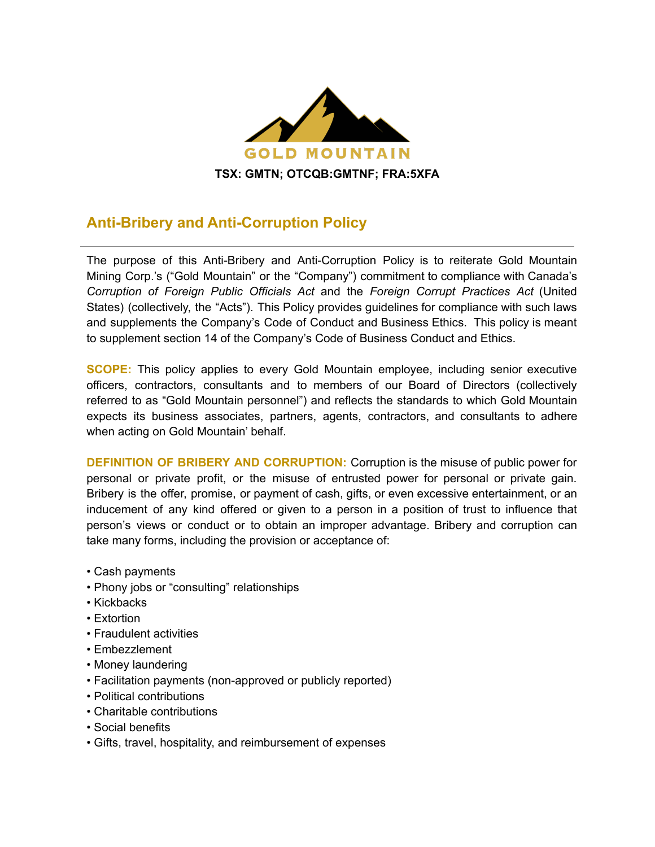

## **Anti-Bribery and Anti-Corruption Policy**

The purpose of this Anti-Bribery and Anti-Corruption Policy is to reiterate Gold Mountain Mining Corp.'s ("Gold Mountain" or the "Company") commitment to compliance with Canada's *Corruption of Foreign Public Officials Act* and the *Foreign Corrupt Practices Act* (United States) (collectively, the "Acts"). This Policy provides guidelines for compliance with such laws and supplements the Company's Code of Conduct and Business Ethics. This policy is meant to supplement section 14 of the Company's Code of Business Conduct and Ethics.

**SCOPE:** This policy applies to every Gold Mountain employee, including senior executive officers, contractors, consultants and to members of our Board of Directors (collectively referred to as "Gold Mountain personnel") and reflects the standards to which Gold Mountain expects its business associates, partners, agents, contractors, and consultants to adhere when acting on Gold Mountain' behalf.

**DEFINITION OF BRIBERY AND CORRUPTION:** Corruption is the misuse of public power for personal or private profit, or the misuse of entrusted power for personal or private gain. Bribery is the offer, promise, or payment of cash, gifts, or even excessive entertainment, or an inducement of any kind offered or given to a person in a position of trust to influence that person's views or conduct or to obtain an improper advantage. Bribery and corruption can take many forms, including the provision or acceptance of:

- Cash payments
- Phony jobs or "consulting" relationships
- Kickbacks
- Extortion
- Fraudulent activities
- Embezzlement
- Money laundering
- Facilitation payments (non-approved or publicly reported)
- Political contributions
- Charitable contributions
- Social benefits
- Gifts, travel, hospitality, and reimbursement of expenses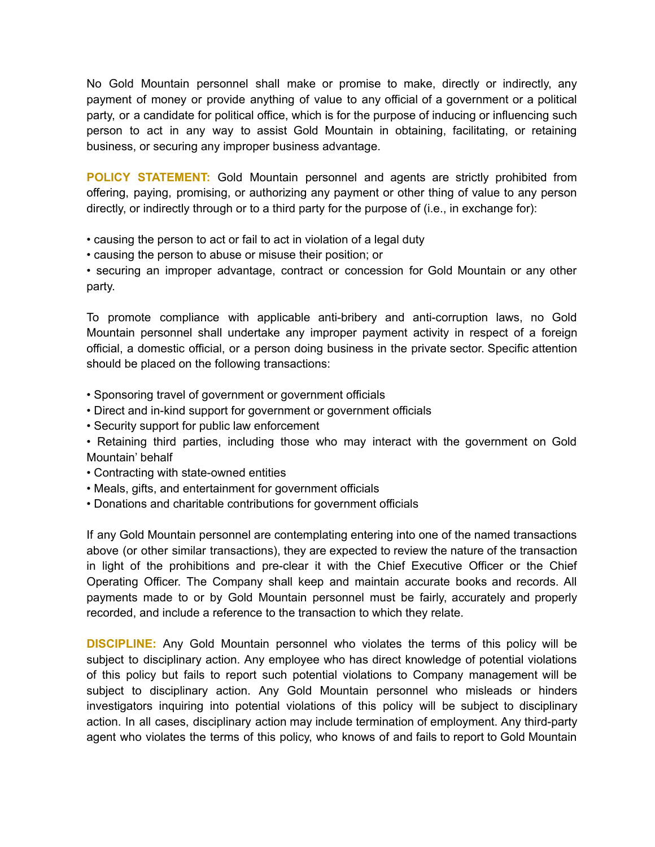No Gold Mountain personnel shall make or promise to make, directly or indirectly, any payment of money or provide anything of value to any official of a government or a political party, or a candidate for political office, which is for the purpose of inducing or influencing such person to act in any way to assist Gold Mountain in obtaining, facilitating, or retaining business, or securing any improper business advantage.

**POLICY STATEMENT:** Gold Mountain personnel and agents are strictly prohibited from offering, paying, promising, or authorizing any payment or other thing of value to any person directly, or indirectly through or to a third party for the purpose of (i.e., in exchange for):

- causing the person to act or fail to act in violation of a legal duty
- causing the person to abuse or misuse their position; or

• securing an improper advantage, contract or concession for Gold Mountain or any other party.

To promote compliance with applicable anti-bribery and anti-corruption laws, no Gold Mountain personnel shall undertake any improper payment activity in respect of a foreign official, a domestic official, or a person doing business in the private sector. Specific attention should be placed on the following transactions:

- Sponsoring travel of government or government officials
- Direct and in-kind support for government or government officials
- Security support for public law enforcement
- Retaining third parties, including those who may interact with the government on Gold Mountain' behalf
- Contracting with state-owned entities
- Meals, gifts, and entertainment for government officials
- Donations and charitable contributions for government officials

If any Gold Mountain personnel are contemplating entering into one of the named transactions above (or other similar transactions), they are expected to review the nature of the transaction in light of the prohibitions and pre-clear it with the Chief Executive Officer or the Chief Operating Officer. The Company shall keep and maintain accurate books and records. All payments made to or by Gold Mountain personnel must be fairly, accurately and properly recorded, and include a reference to the transaction to which they relate.

**DISCIPLINE:** Any Gold Mountain personnel who violates the terms of this policy will be subject to disciplinary action. Any employee who has direct knowledge of potential violations of this policy but fails to report such potential violations to Company management will be subject to disciplinary action. Any Gold Mountain personnel who misleads or hinders investigators inquiring into potential violations of this policy will be subject to disciplinary action. In all cases, disciplinary action may include termination of employment. Any third-party agent who violates the terms of this policy, who knows of and fails to report to Gold Mountain